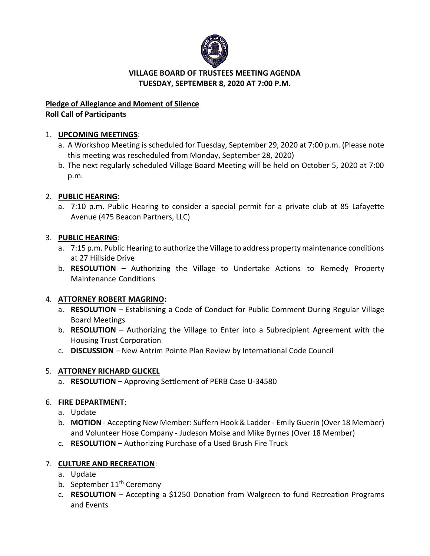

## **VILLAGE BOARD OF TRUSTEES MEETING AGENDA TUESDAY, SEPTEMBER 8, 2020 AT 7:00 P.M.**

# **Pledge of Allegiance and Moment of Silence Roll Call of Participants**

# 1. **UPCOMING MEETINGS**:

- a. A Workshop Meeting is scheduled for Tuesday, September 29, 2020 at 7:00 p.m. (Please note this meeting was rescheduled from Monday, September 28, 2020)
- b. The next regularly scheduled Village Board Meeting will be held on October 5, 2020 at 7:00 p.m.

# 2. **PUBLIC HEARING**:

a. 7:10 p.m. Public Hearing to consider a special permit for a private club at 85 Lafayette Avenue (475 Beacon Partners, LLC)

## 3. **PUBLIC HEARING**:

- a. 7:15 p.m. Public Hearing to authorize the Village to address property maintenance conditions at 27 Hillside Drive
- b. **RESOLUTION** Authorizing the Village to Undertake Actions to Remedy Property Maintenance Conditions

## 4. **ATTORNEY ROBERT MAGRINO:**

- a. **RESOLUTION** Establishing a Code of Conduct for Public Comment During Regular Village Board Meetings
- b. **RESOLUTION** Authorizing the Village to Enter into a Subrecipient Agreement with the Housing Trust Corporation
- c. **DISCUSSION** New Antrim Pointe Plan Review by International Code Council

## 5. **ATTORNEY RICHARD GLICKEL**

a. **RESOLUTION** – Approving Settlement of PERB Case U-34580

## 6. **FIRE DEPARTMENT**:

- a. Update
- b. **MOTION** Accepting New Member: Suffern Hook & Ladder Emily Guerin (Over 18 Member) and Volunteer Hose Company - Judeson Moise and Mike Byrnes (Over 18 Member)
- c. **RESOLUTION** Authorizing Purchase of a Used Brush Fire Truck

## 7. **CULTURE AND RECREATION**:

- a. Update
- b. September 11<sup>th</sup> Ceremony
- c. **RESOLUTION** Accepting a \$1250 Donation from Walgreen to fund Recreation Programs and Events